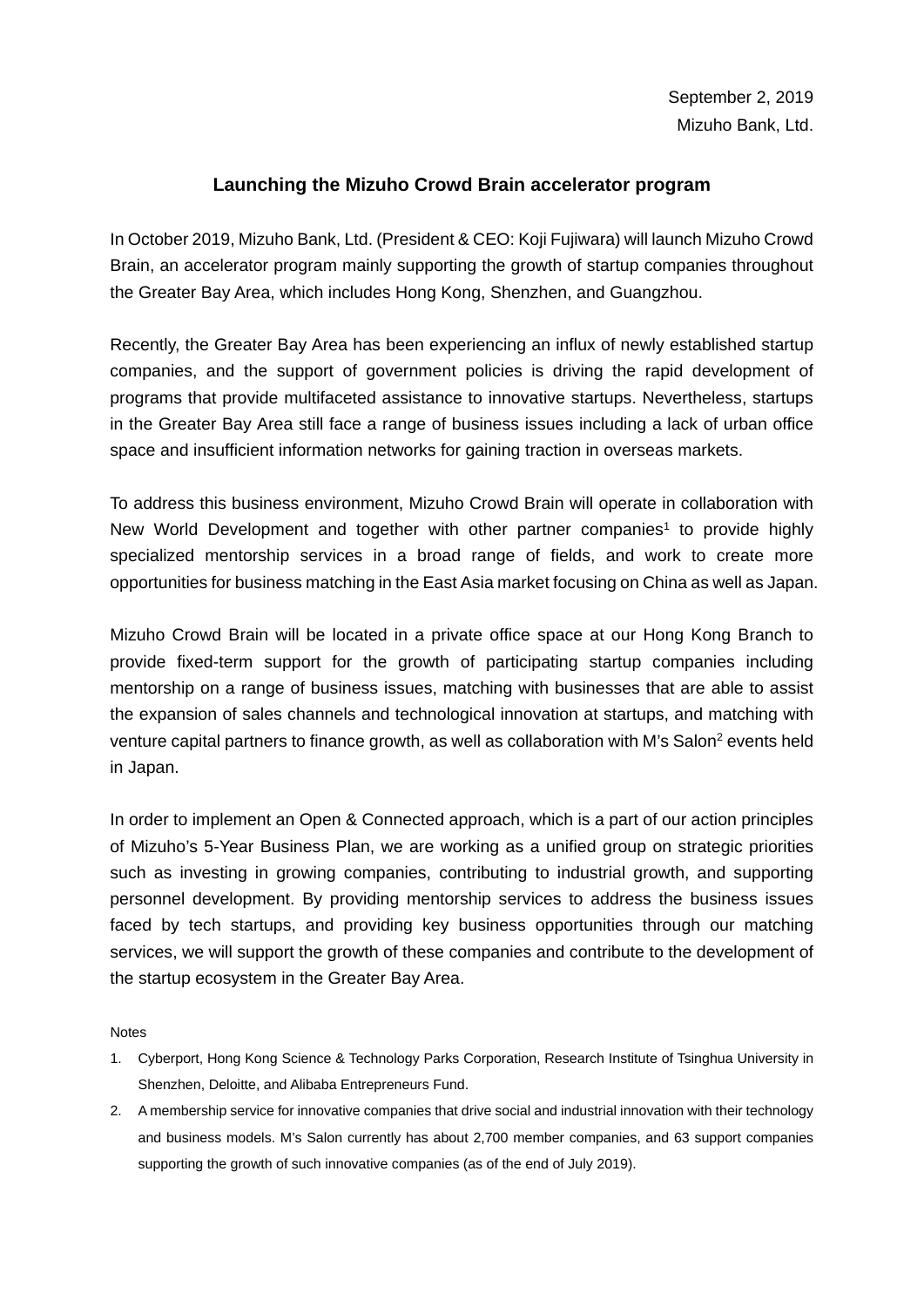## **Launching the Mizuho Crowd Brain accelerator program**

In October 2019, Mizuho Bank, Ltd. (President & CEO: Koji Fujiwara) will launch Mizuho Crowd Brain, an accelerator program mainly supporting the growth of startup companies throughout the Greater Bay Area, which includes Hong Kong, Shenzhen, and Guangzhou.

Recently, the Greater Bay Area has been experiencing an influx of newly established startup companies, and the support of government policies is driving the rapid development of programs that provide multifaceted assistance to innovative startups. Nevertheless, startups in the Greater Bay Area still face a range of business issues including a lack of urban office space and insufficient information networks for gaining traction in overseas markets.

To address this business environment, Mizuho Crowd Brain will operate in collaboration with New World Development and together with other partner companies<sup>1</sup> to provide highly specialized mentorship services in a broad range of fields, and work to create more opportunities for business matching in the East Asia market focusing on China as well as Japan.

Mizuho Crowd Brain will be located in a private office space at our Hong Kong Branch to provide fixed-term support for the growth of participating startup companies including mentorship on a range of business issues, matching with businesses that are able to assist the expansion of sales channels and technological innovation at startups, and matching with venture capital partners to finance growth, as well as collaboration with M's Salon<sup>2</sup> events held in Japan.

In order to implement an Open & Connected approach, which is a part of our action principles of Mizuho's 5-Year Business Plan, we are working as a unified group on strategic priorities such as investing in growing companies, contributing to industrial growth, and supporting personnel development. By providing mentorship services to address the business issues faced by tech startups, and providing key business opportunities through our matching services, we will support the growth of these companies and contribute to the development of the startup ecosystem in the Greater Bay Area.

**Notes** 

- 1. Cyberport, Hong Kong Science & Technology Parks Corporation, Research Institute of Tsinghua University in Shenzhen, Deloitte, and Alibaba Entrepreneurs Fund.
- 2. A membership service for innovative companies that drive social and industrial innovation with their technology and business models. M's Salon currently has about 2,700 member companies, and 63 support companies supporting the growth of such innovative companies (as of the end of July 2019).